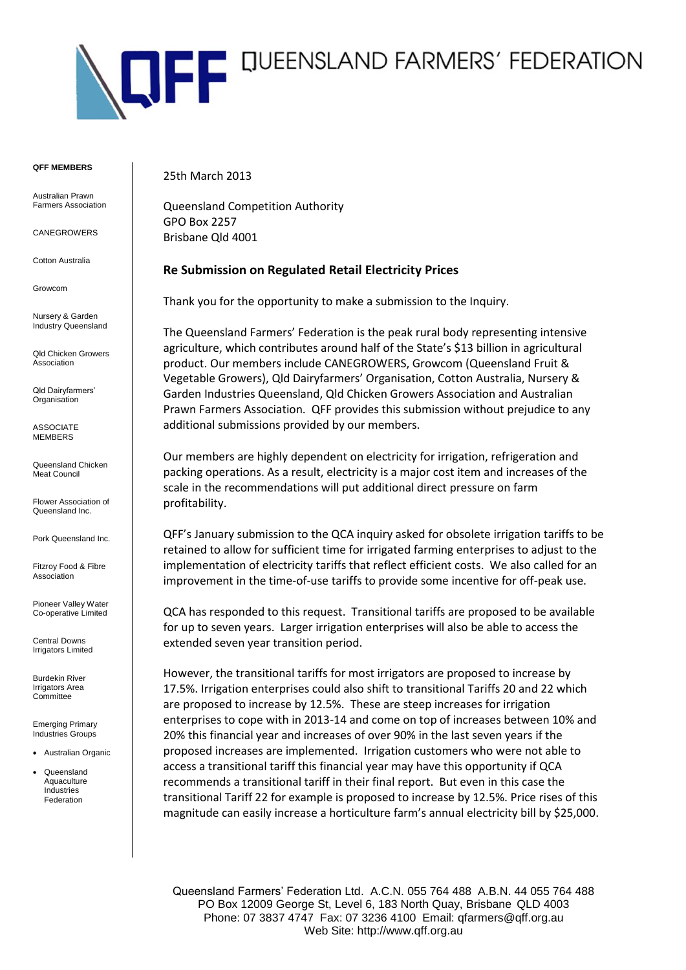

#### **QFF MEMBERS**

Australian Prawn Farmers Association

CANEGROWERS

Cotton Australia

Growcom

Nursery & Garden Industry Queensland

Qld Chicken Growers **Association** 

Qld Dairyfarmers' **Organisation** 

ASSOCIATE MEMBERS

Queensland Chicken Meat Council

Flower Association of Queensland Inc.

Pork Queensland Inc.

Fitzroy Food & Fibre Association

Pioneer Valley Water Co-operative Limited

Central Downs **Irrigators Limited** 

Burdekin River Irrigators Area **Committee** 

Emerging Primary Industries Groups

Australian Organic

 Queensland Aquaculture Industries Federation

25th March 2013

Queensland Competition Authority GPO Box 2257 Brisbane Qld 4001

# **Re Submission on Regulated Retail Electricity Prices**

Thank you for the opportunity to make a submission to the Inquiry.

The Queensland Farmers' Federation is the peak rural body representing intensive agriculture, which contributes around half of the State's \$13 billion in agricultural product. Our members include CANEGROWERS, Growcom (Queensland Fruit & Vegetable Growers), Qld Dairyfarmers' Organisation, Cotton Australia, Nursery & Garden Industries Queensland, Qld Chicken Growers Association and Australian Prawn Farmers Association. QFF provides this submission without prejudice to any additional submissions provided by our members.

Our members are highly dependent on electricity for irrigation, refrigeration and packing operations. As a result, electricity is a major cost item and increases of the scale in the recommendations will put additional direct pressure on farm profitability.

QFF's January submission to the QCA inquiry asked for obsolete irrigation tariffs to be retained to allow for sufficient time for irrigated farming enterprises to adjust to the implementation of electricity tariffs that reflect efficient costs. We also called for an improvement in the time-of-use tariffs to provide some incentive for off-peak use.

QCA has responded to this request. Transitional tariffs are proposed to be available for up to seven years. Larger irrigation enterprises will also be able to access the extended seven year transition period.

However, the transitional tariffs for most irrigators are proposed to increase by 17.5%. Irrigation enterprises could also shift to transitional Tariffs 20 and 22 which are proposed to increase by 12.5%. These are steep increases for irrigation enterprises to cope with in 2013-14 and come on top of increases between 10% and 20% this financial year and increases of over 90% in the last seven years if the proposed increases are implemented. Irrigation customers who were not able to access a transitional tariff this financial year may have this opportunity if QCA recommends a transitional tariff in their final report. But even in this case the transitional Tariff 22 for example is proposed to increase by 12.5%. Price rises of this magnitude can easily increase a horticulture farm's annual electricity bill by \$25,000.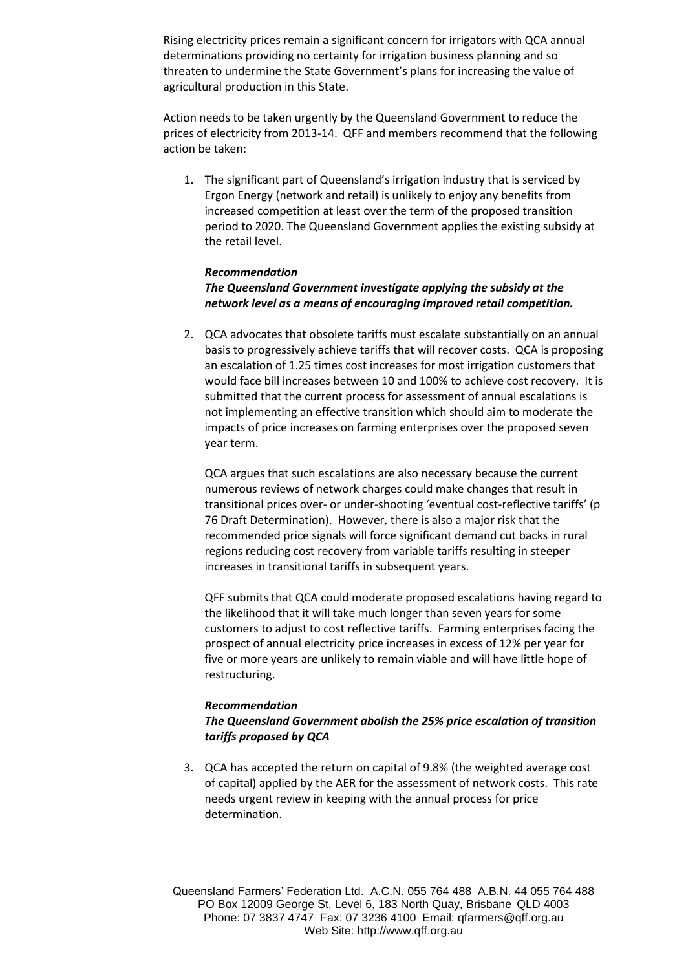Rising electricity prices remain a significant concern for irrigators with QCA annual determinations providing no certainty for irrigation business planning and so threaten to undermine the State Government's plans for increasing the value of agricultural production in this State.

Action needs to be taken urgently by the Queensland Government to reduce the prices of electricity from 2013-14. QFF and members recommend that the following action be taken:

1. The significant part of Queensland's irrigation industry that is serviced by Ergon Energy (network and retail) is unlikely to enjoy any benefits from increased competition at least over the term of the proposed transition period to 2020. The Queensland Government applies the existing subsidy at the retail level.

### *Recommendation*

# *The Queensland Government investigate applying the subsidy at the network level as a means of encouraging improved retail competition.*

2. QCA advocates that obsolete tariffs must escalate substantially on an annual basis to progressively achieve tariffs that will recover costs. QCA is proposing an escalation of 1.25 times cost increases for most irrigation customers that would face bill increases between 10 and 100% to achieve cost recovery. It is submitted that the current process for assessment of annual escalations is not implementing an effective transition which should aim to moderate the impacts of price increases on farming enterprises over the proposed seven year term.

QCA argues that such escalations are also necessary because the current numerous reviews of network charges could make changes that result in transitional prices over- or under-shooting 'eventual cost-reflective tariffs' (p 76 Draft Determination). However, there is also a major risk that the recommended price signals will force significant demand cut backs in rural regions reducing cost recovery from variable tariffs resulting in steeper increases in transitional tariffs in subsequent years.

QFF submits that QCA could moderate proposed escalations having regard to the likelihood that it will take much longer than seven years for some customers to adjust to cost reflective tariffs. Farming enterprises facing the prospect of annual electricity price increases in excess of 12% per year for five or more years are unlikely to remain viable and will have little hope of restructuring.

### *Recommendation*

# *The Queensland Government abolish the 25% price escalation of transition tariffs proposed by QCA*

3. QCA has accepted the return on capital of 9.8% (the weighted average cost of capital) applied by the AER for the assessment of network costs. This rate needs urgent review in keeping with the annual process for price determination.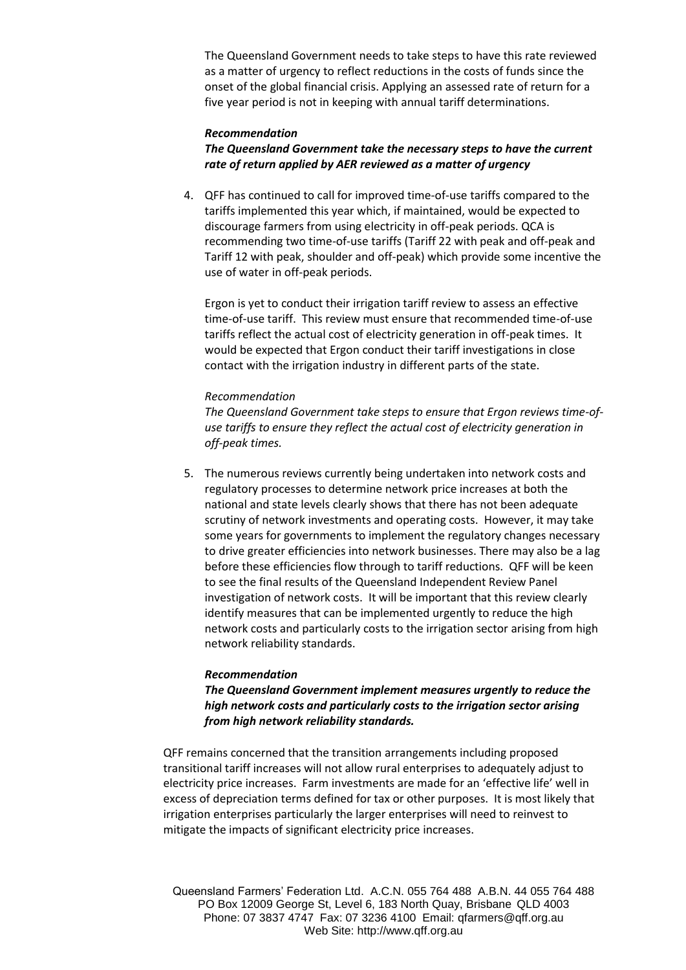The Queensland Government needs to take steps to have this rate reviewed as a matter of urgency to reflect reductions in the costs of funds since the onset of the global financial crisis. Applying an assessed rate of return for a five year period is not in keeping with annual tariff determinations.

### *Recommendation*

*The Queensland Government take the necessary steps to have the current rate of return applied by AER reviewed as a matter of urgency* 

4. QFF has continued to call for improved time-of-use tariffs compared to the tariffs implemented this year which, if maintained, would be expected to discourage farmers from using electricity in off-peak periods. QCA is recommending two time-of-use tariffs (Tariff 22 with peak and off-peak and Tariff 12 with peak, shoulder and off-peak) which provide some incentive the use of water in off-peak periods.

Ergon is yet to conduct their irrigation tariff review to assess an effective time-of-use tariff. This review must ensure that recommended time-of-use tariffs reflect the actual cost of electricity generation in off-peak times. It would be expected that Ergon conduct their tariff investigations in close contact with the irrigation industry in different parts of the state.

### *Recommendation*

*The Queensland Government take steps to ensure that Ergon reviews time-ofuse tariffs to ensure they reflect the actual cost of electricity generation in off-peak times.* 

5. The numerous reviews currently being undertaken into network costs and regulatory processes to determine network price increases at both the national and state levels clearly shows that there has not been adequate scrutiny of network investments and operating costs. However, it may take some years for governments to implement the regulatory changes necessary to drive greater efficiencies into network businesses. There may also be a lag before these efficiencies flow through to tariff reductions. QFF will be keen to see the final results of the Queensland Independent Review Panel investigation of network costs. It will be important that this review clearly identify measures that can be implemented urgently to reduce the high network costs and particularly costs to the irrigation sector arising from high network reliability standards.

#### *Recommendation*

*The Queensland Government implement measures urgently to reduce the high network costs and particularly costs to the irrigation sector arising from high network reliability standards.*

QFF remains concerned that the transition arrangements including proposed transitional tariff increases will not allow rural enterprises to adequately adjust to electricity price increases. Farm investments are made for an 'effective life' well in excess of depreciation terms defined for tax or other purposes. It is most likely that irrigation enterprises particularly the larger enterprises will need to reinvest to mitigate the impacts of significant electricity price increases.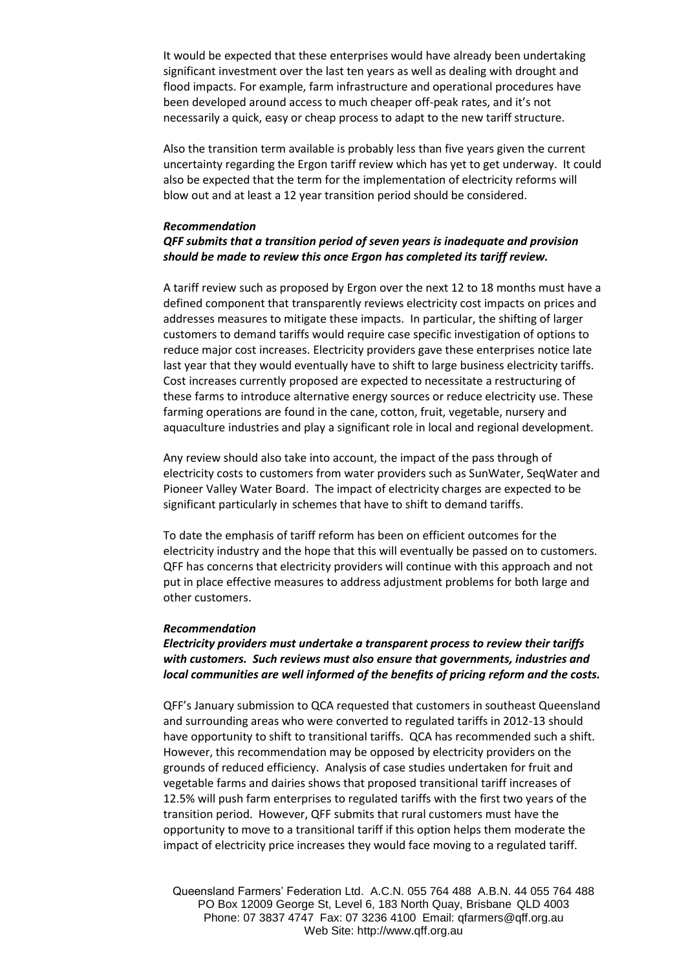It would be expected that these enterprises would have already been undertaking significant investment over the last ten years as well as dealing with drought and flood impacts. For example, farm infrastructure and operational procedures have been developed around access to much cheaper off-peak rates, and it's not necessarily a quick, easy or cheap process to adapt to the new tariff structure.

Also the transition term available is probably less than five years given the current uncertainty regarding the Ergon tariff review which has yet to get underway. It could also be expected that the term for the implementation of electricity reforms will blow out and at least a 12 year transition period should be considered.

### *Recommendation QFF submits that a transition period of seven years is inadequate and provision should be made to review this once Ergon has completed its tariff review.*

A tariff review such as proposed by Ergon over the next 12 to 18 months must have a defined component that transparently reviews electricity cost impacts on prices and addresses measures to mitigate these impacts. In particular, the shifting of larger customers to demand tariffs would require case specific investigation of options to reduce major cost increases. Electricity providers gave these enterprises notice late last year that they would eventually have to shift to large business electricity tariffs. Cost increases currently proposed are expected to necessitate a restructuring of these farms to introduce alternative energy sources or reduce electricity use. These farming operations are found in the cane, cotton, fruit, vegetable, nursery and aquaculture industries and play a significant role in local and regional development.

Any review should also take into account, the impact of the pass through of electricity costs to customers from water providers such as SunWater, SeqWater and Pioneer Valley Water Board. The impact of electricity charges are expected to be significant particularly in schemes that have to shift to demand tariffs.

To date the emphasis of tariff reform has been on efficient outcomes for the electricity industry and the hope that this will eventually be passed on to customers. QFF has concerns that electricity providers will continue with this approach and not put in place effective measures to address adjustment problems for both large and other customers.

### *Recommendation*

# *Electricity providers must undertake a transparent process to review their tariffs with customers. Such reviews must also ensure that governments, industries and local communities are well informed of the benefits of pricing reform and the costs.*

QFF's January submission to QCA requested that customers in southeast Queensland and surrounding areas who were converted to regulated tariffs in 2012-13 should have opportunity to shift to transitional tariffs. QCA has recommended such a shift. However, this recommendation may be opposed by electricity providers on the grounds of reduced efficiency. Analysis of case studies undertaken for fruit and vegetable farms and dairies shows that proposed transitional tariff increases of 12.5% will push farm enterprises to regulated tariffs with the first two years of the transition period. However, QFF submits that rural customers must have the opportunity to move to a transitional tariff if this option helps them moderate the impact of electricity price increases they would face moving to a regulated tariff.